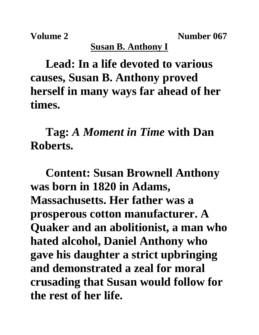**Volume 2** Number 067

## **Susan B. Anthony I**

**Lead: In a life devoted to various causes, Susan B. Anthony proved herself in many ways far ahead of her times.**

**Tag:** *A Moment in Time* **with Dan Roberts.**

**Content: Susan Brownell Anthony was born in 1820 in Adams, Massachusetts. Her father was a prosperous cotton manufacturer. A Quaker and an abolitionist, a man who hated alcohol, Daniel Anthony who gave his daughter a strict upbringing and demonstrated a zeal for moral crusading that Susan would follow for the rest of her life.**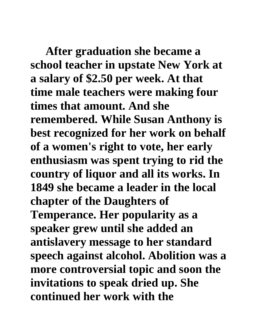**After graduation she became a school teacher in upstate New York at a salary of \$2.50 per week. At that time male teachers were making four times that amount. And she remembered. While Susan Anthony is best recognized for her work on behalf of a women's right to vote, her early enthusiasm was spent trying to rid the country of liquor and all its works. In 1849 she became a leader in the local chapter of the Daughters of Temperance. Her popularity as a speaker grew until she added an antislavery message to her standard speech against alcohol. Abolition was a more controversial topic and soon the invitations to speak dried up. She continued her work with the**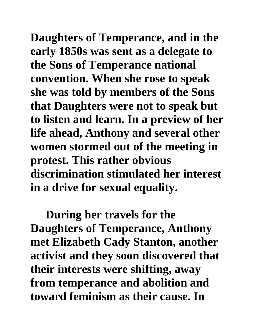**Daughters of Temperance, and in the early 1850s was sent as a delegate to the Sons of Temperance national convention. When she rose to speak she was told by members of the Sons that Daughters were not to speak but to listen and learn. In a preview of her life ahead, Anthony and several other women stormed out of the meeting in protest. This rather obvious discrimination stimulated her interest in a drive for sexual equality.**

**During her travels for the Daughters of Temperance, Anthony met Elizabeth Cady Stanton, another activist and they soon discovered that their interests were shifting, away from temperance and abolition and toward feminism as their cause. In**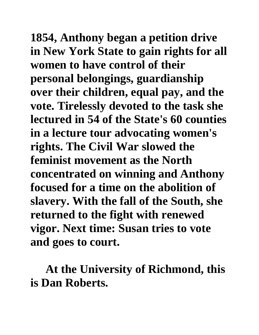**1854, Anthony began a petition drive in New York State to gain rights for all women to have control of their personal belongings, guardianship over their children, equal pay, and the vote. Tirelessly devoted to the task she lectured in 54 of the State's 60 counties in a lecture tour advocating women's rights. The Civil War slowed the feminist movement as the North concentrated on winning and Anthony focused for a time on the abolition of slavery. With the fall of the South, she returned to the fight with renewed vigor. Next time: Susan tries to vote and goes to court.**

**At the University of Richmond, this is Dan Roberts.**